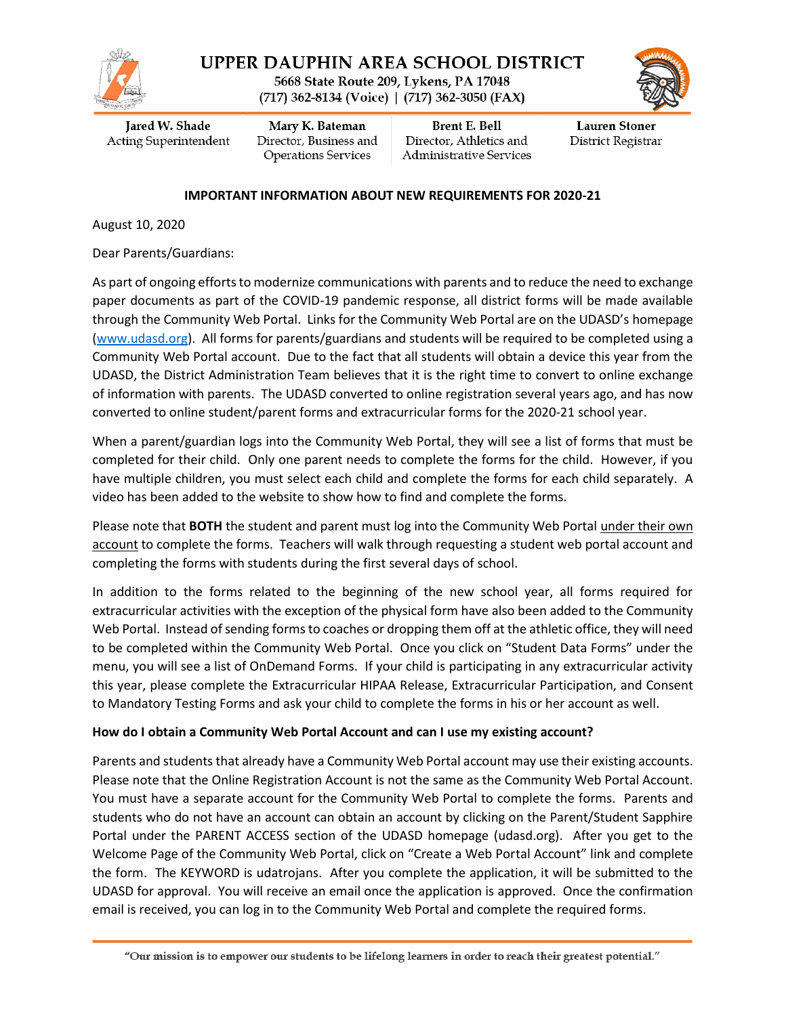

UPPER DAUPHIN AREA SCHOOL DISTRICT

5668 State Route 209, Lykens, PA 17048 (717) 362-8134 (Voice) | (717) 362-3050 (FAX)



Jared W. Shade Acting Superintendent

Mary K. Bateman Director, Business and **Operations Services** 

**Brent E. Bell** Director, Athletics and Administrative Services

**Lauren Stoner** District Registrar

#### **IMPORTANT INFORMATION ABOUT NEW REQUIREMENTS FOR 2020-21**

August 10, 2020

Dear Parents/Guardians:

As part of ongoing efforts to modernize communications with parents and to reduce the need to exchange paper documents as part of the COVID-19 pandemic response, all district forms will be made available through the Community Web Portal. Links for the Community Web Portal are on the UDASD's homepage [\(www.udasd.org\)](http://www.udasd.org/). All forms for parents/guardians and students will be required to be completed using a Community Web Portal account. Due to the fact that all students will obtain a device this year from the UDASD, the District Administration Team believes that it is the right time to convert to online exchange of information with parents. The UDASD converted to online registration several years ago, and has now converted to online student/parent forms and extracurricular forms for the 2020-21 school year.

When a parent/guardian logs into the Community Web Portal, they will see a list of forms that must be completed for their child. Only one parent needs to complete the forms for the child. However, if you have multiple children, you must select each child and complete the forms for each child separately. A video has been added to the website to show how to find and complete the forms.

Please note that **BOTH** the student and parent must log into the Community Web Portal under their own account to complete the forms. Teachers will walk through requesting a student web portal account and completing the forms with students during the first several days of school.

In addition to the forms related to the beginning of the new school year, all forms required for extracurricular activities with the exception of the physical form have also been added to the Community Web Portal. Instead of sending forms to coaches or dropping them off at the athletic office, they will need to be completed within the Community Web Portal. Once you click on "Student Data Forms" under the menu, you will see a list of OnDemand Forms. If your child is participating in any extracurricular activity this year, please complete the Extracurricular HIPAA Release, Extracurricular Participation, and Consent to Mandatory Testing Forms and ask your child to complete the forms in his or her account as well.

#### **How do I obtain a Community Web Portal Account and can I use my existing account?**

Parents and students that already have a Community Web Portal account may use their existing accounts. Please note that the Online Registration Account is not the same as the Community Web Portal Account. You must have a separate account for the Community Web Portal to complete the forms. Parents and students who do not have an account can obtain an account by clicking on the Parent/Student Sapphire Portal under the PARENT ACCESS section of the UDASD homepage (udasd.org). After you get to the Welcome Page of the Community Web Portal, click on "Create a Web Portal Account" link and complete the form. The KEYWORD is udatrojans. After you complete the application, it will be submitted to the UDASD for approval. You will receive an email once the application is approved. Once the confirmation email is received, you can log in to the Community Web Portal and complete the required forms.